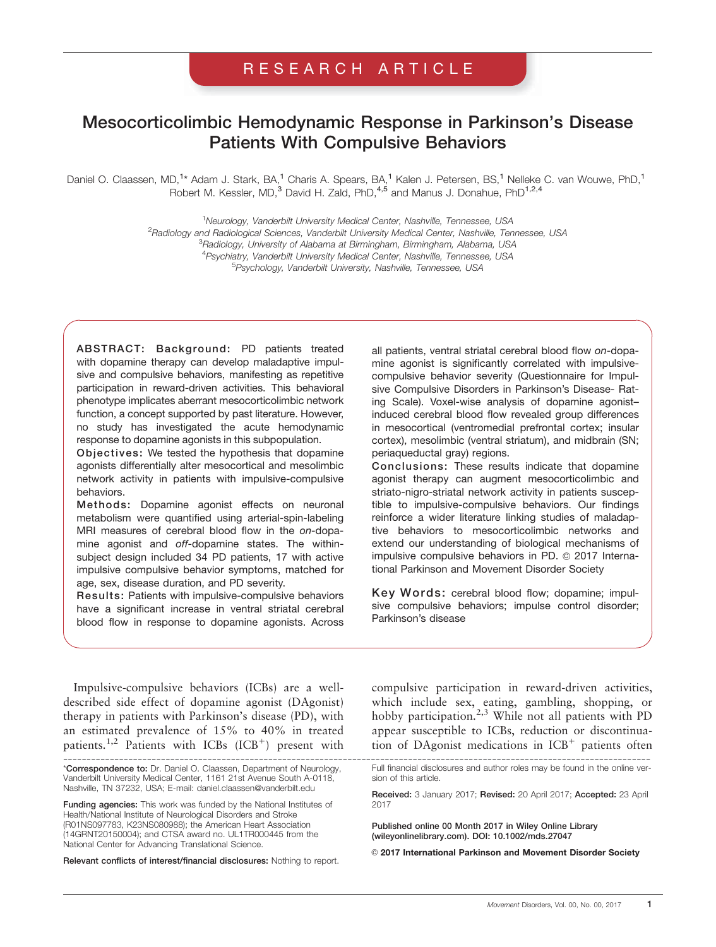# RESEARCH ARTICLE

# Mesocorticolimbic Hemodynamic Response in Parkinson's Disease Patients With Compulsive Behaviors

Daniel O. Claassen, MD,<sup>1\*</sup> Adam J. Stark, BA,<sup>1</sup> Charis A. Spears, BA,<sup>1</sup> Kalen J. Petersen, BS,<sup>1</sup> Nelleke C. van Wouwe, PhD,<sup>1</sup> Robert M. Kessler, MD,<sup>3</sup> David H. Zald, PhD,<sup>4,5</sup> and Manus J. Donahue, PhD<sup>1,2,4</sup>

> <sup>1</sup>Neurology, Vanderbilt University Medical Center, Nashville, Tennessee, USA <sup>2</sup> Radiology and Radiological Sciences, Vanderbilt University Medical Center, Nashville, Tennessee, USA<br><sup>3</sup> Badiology University of Alabama at Birmingham, Birmingham, Alabama, USA <sup>3</sup>Radiology, University of Alabama at Birmingham, Birmingham, Alabama, USA <sup>4</sup> Psychiatry, Vanderbilt University Medical Center, Nashville, Tennessee, USA<br><sup>5</sup> Peuchelocy, Vanderbilt University, Nashville, Tennessee, USA Psychology, Vanderbilt University, Nashville, Tennessee, USA

ABSTRACT: Background: PD patients treated with dopamine therapy can develop maladaptive impulsive and compulsive behaviors, manifesting as repetitive participation in reward-driven activities. This behavioral phenotype implicates aberrant mesocorticolimbic network function, a concept supported by past literature. However, no study has investigated the acute hemodynamic response to dopamine agonists in this subpopulation.

Objectives: We tested the hypothesis that dopamine agonists differentially alter mesocortical and mesolimbic network activity in patients with impulsive-compulsive behaviors.

Methods: Dopamine agonist effects on neuronal metabolism were quantified using arterial-spin-labeling MRI measures of cerebral blood flow in the on-dopamine agonist and off-dopamine states. The withinsubject design included 34 PD patients, 17 with active impulsive compulsive behavior symptoms, matched for age, sex, disease duration, and PD severity.

Results: Patients with impulsive-compulsive behaviors have a significant increase in ventral striatal cerebral blood flow in response to dopamine agonists. Across

all patients, ventral striatal cerebral blood flow on-dopamine agonist is significantly correlated with impulsivecompulsive behavior severity (Questionnaire for Impulsive Compulsive Disorders in Parkinson's Disease- Rating Scale). Voxel-wise analysis of dopamine agonist– induced cerebral blood flow revealed group differences in mesocortical (ventromedial prefrontal cortex; insular cortex), mesolimbic (ventral striatum), and midbrain (SN; periaqueductal gray) regions.

Conclusions: These results indicate that dopamine agonist therapy can augment mesocorticolimbic and striato-nigro-striatal network activity in patients susceptible to impulsive-compulsive behaviors. Our findings reinforce a wider literature linking studies of maladaptive behaviors to mesocorticolimbic networks and extend our understanding of biological mechanisms of impulsive compulsive behaviors in PD. © 2017 International Parkinson and Movement Disorder Society

Key Words: cerebral blood flow; dopamine; impulsive compulsive behaviors; impulse control disorder; Parkinson's disease

Impulsive-compulsive behaviors (ICBs) are a welldescribed side effect of dopamine agonist (DAgonist) therapy in patients with Parkinson's disease (PD), with an estimated prevalence of 15% to 40% in treated patients.<sup>1,2</sup> Patients with ICBs (ICB<sup>+</sup>) present with

------------------------------------------------------------------------------------------------------------------------------ \*Correspondence to: Dr. Daniel O. Claassen, Department of Neurology, Vanderbilt University Medical Center, 1161 21st Avenue South A-0118, Nashville, TN 37232, USA; E-mail: daniel.claassen@vanderbilt.edu

Funding agencies: This work was funded by the National Institutes of Health/National Institute of Neurological Disorders and Stroke (R01NS097783, K23NS080988); the American Heart Association (14GRNT20150004); and CTSA award no. UL1TR000445 from the National Center for Advancing Translational Science.

Relevant conflicts of interest/financial disclosures: Nothing to report.

compulsive participation in reward-driven activities, which include sex, eating, gambling, shopping, or hobby participation.<sup>2,3</sup> While not all patients with PD appear susceptible to ICBs, reduction or discontinuation of DAgonist medications in  $ICB<sup>+</sup>$  patients often

Published online 00 Month 2017 in Wiley Online Library (wileyonlinelibrary.com). DOI: 10.1002/mds.27047

© 2017 International Parkinson and Movement Disorder Society

Full financial disclosures and author roles may be found in the online version of this article.

Received: 3 January 2017; Revised: 20 April 2017; Accepted: 23 April 2017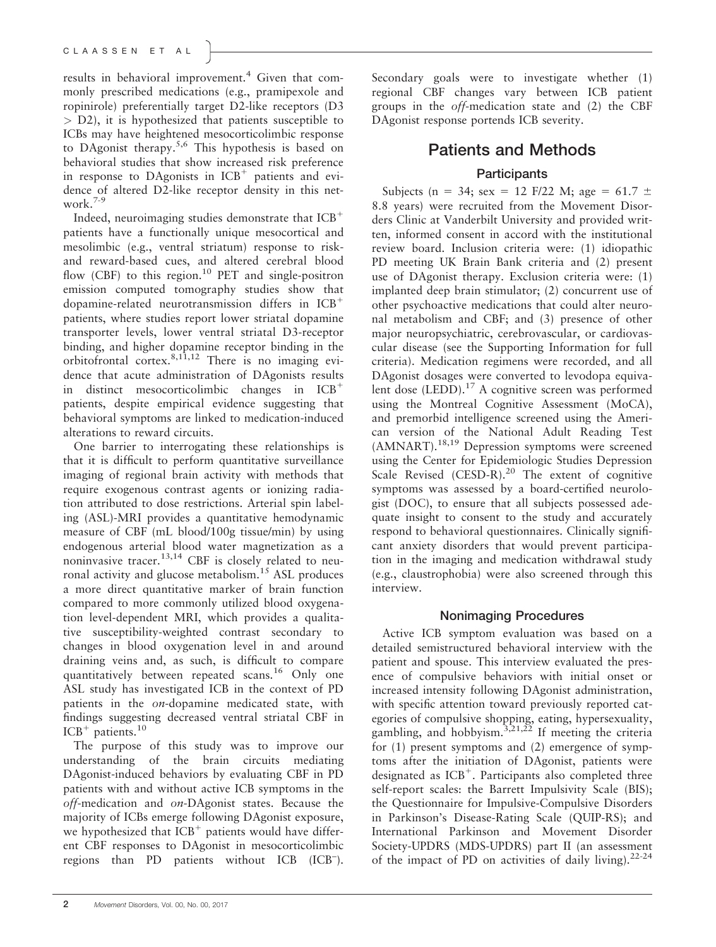results in behavioral improvement.<sup>4</sup> Given that commonly prescribed medications (e.g., pramipexole and ropinirole) preferentially target D2-like receptors (D3 > D2), it is hypothesized that patients susceptible to ICBs may have heightened mesocorticolimbic response to DAgonist therapy.5,6 This hypothesis is based on behavioral studies that show increased risk preference in response to DAgonists in  $ICB<sup>+</sup>$  patients and evidence of altered D2-like receptor density in this network.7-9

Indeed, neuroimaging studies demonstrate that  $ICB<sup>+</sup>$ patients have a functionally unique mesocortical and mesolimbic (e.g., ventral striatum) response to riskand reward-based cues, and altered cerebral blood flow (CBF) to this region.<sup>10</sup> PET and single-positron emission computed tomography studies show that dopamine-related neurotransmission differs in  $ICB<sup>+</sup>$ patients, where studies report lower striatal dopamine transporter levels, lower ventral striatal D3-receptor binding, and higher dopamine receptor binding in the orbitofrontal cortex.8,11,12 There is no imaging evidence that acute administration of DAgonists results in distinct mesocorticolimbic changes in  $ICB<sup>+</sup>$ patients, despite empirical evidence suggesting that behavioral symptoms are linked to medication-induced alterations to reward circuits.

One barrier to interrogating these relationships is that it is difficult to perform quantitative surveillance imaging of regional brain activity with methods that require exogenous contrast agents or ionizing radiation attributed to dose restrictions. Arterial spin labeling (ASL)-MRI provides a quantitative hemodynamic measure of CBF (mL blood/100g tissue/min) by using endogenous arterial blood water magnetization as a noninvasive tracer.<sup>13,14</sup> CBF is closely related to neuronal activity and glucose metabolism.<sup>15</sup> ASL produces a more direct quantitative marker of brain function compared to more commonly utilized blood oxygenation level-dependent MRI, which provides a qualitative susceptibility-weighted contrast secondary to changes in blood oxygenation level in and around draining veins and, as such, is difficult to compare quantitatively between repeated scans.<sup>16</sup> Only one ASL study has investigated ICB in the context of PD patients in the on-dopamine medicated state, with findings suggesting decreased ventral striatal CBF in  $ICB<sup>+</sup>$  patients.<sup>10</sup>

The purpose of this study was to improve our understanding of the brain circuits mediating DAgonist-induced behaviors by evaluating CBF in PD patients with and without active ICB symptoms in the off-medication and on-DAgonist states. Because the majority of ICBs emerge following DAgonist exposure, we hypothesized that  $ICB<sup>+</sup>$  patients would have different CBF responses to DAgonist in mesocorticolimbic regions than PD patients without ICB (ICB– ).

Secondary goals were to investigate whether (1) regional CBF changes vary between ICB patient groups in the off-medication state and (2) the CBF DAgonist response portends ICB severity.

# Patients and Methods **Participants**

Subjects (n = 34; sex = 12 F/22 M; age = 61.7  $\pm$ 8.8 years) were recruited from the Movement Disorders Clinic at Vanderbilt University and provided written, informed consent in accord with the institutional review board. Inclusion criteria were: (1) idiopathic PD meeting UK Brain Bank criteria and (2) present use of DAgonist therapy. Exclusion criteria were: (1) implanted deep brain stimulator; (2) concurrent use of other psychoactive medications that could alter neuronal metabolism and CBF; and (3) presence of other major neuropsychiatric, cerebrovascular, or cardiovascular disease (see the Supporting Information for full criteria). Medication regimens were recorded, and all DAgonist dosages were converted to levodopa equivalent dose  $(LEDD).<sup>17</sup>$  A cognitive screen was performed using the Montreal Cognitive Assessment (MoCA), and premorbid intelligence screened using the American version of the National Adult Reading Test (AMNART).18,19 Depression symptoms were screened using the Center for Epidemiologic Studies Depression Scale Revised (CESD-R).<sup>20</sup> The extent of cognitive symptoms was assessed by a board-certified neurologist (DOC), to ensure that all subjects possessed adequate insight to consent to the study and accurately respond to behavioral questionnaires. Clinically significant anxiety disorders that would prevent participation in the imaging and medication withdrawal study (e.g., claustrophobia) were also screened through this interview.

## Nonimaging Procedures

Active ICB symptom evaluation was based on a detailed semistructured behavioral interview with the patient and spouse. This interview evaluated the presence of compulsive behaviors with initial onset or increased intensity following DAgonist administration, with specific attention toward previously reported categories of compulsive shopping, eating, hypersexuality, gambling, and hobbyism.<sup>3,21,22</sup> If meeting the criteria for (1) present symptoms and (2) emergence of symptoms after the initiation of DAgonist, patients were designated as  $ICB^+$ . Participants also completed three self-report scales: the Barrett Impulsivity Scale (BIS); the Questionnaire for Impulsive-Compulsive Disorders in Parkinson's Disease-Rating Scale (QUIP-RS); and International Parkinson and Movement Disorder Society-UPDRS (MDS-UPDRS) part II (an assessment of the impact of PD on activities of daily living).<sup>22-24</sup>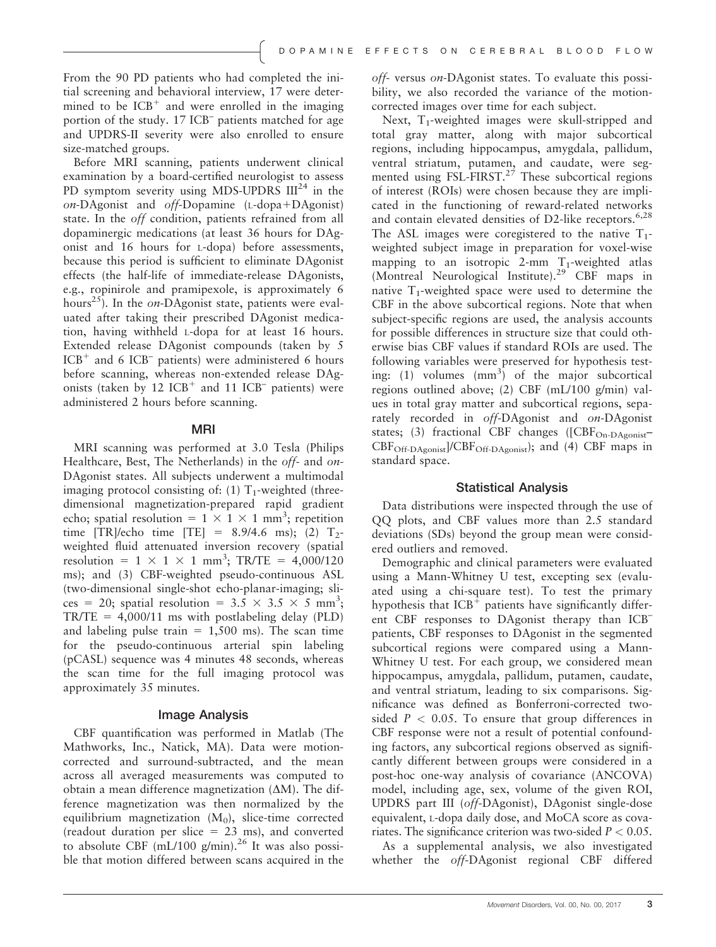From the 90 PD patients who had completed the initial screening and behavioral interview, 17 were determined to be  $ICB<sup>+</sup>$  and were enrolled in the imaging portion of the study. 17 ICB– patients matched for age and UPDRS-II severity were also enrolled to ensure size-matched groups.

Before MRI scanning, patients underwent clinical examination by a board-certified neurologist to assess PD symptom severity using MDS-UPDRS  $III^{24}$  in the  $on-DA$ gonist and  $off-Dopamine$  (L-dopa+DAgonist) state. In the off condition, patients refrained from all dopaminergic medications (at least 36 hours for DAgonist and 16 hours for L-dopa) before assessments, because this period is sufficient to eliminate DAgonist effects (the half-life of immediate-release DAgonists, e.g., ropinirole and pramipexole, is approximately 6 hours<sup>25</sup>). In the on-DAgonist state, patients were evaluated after taking their prescribed DAgonist medication, having withheld L-dopa for at least 16 hours. Extended release DAgonist compounds (taken by 5  $ICB<sup>+</sup>$  and 6 ICB<sup>-</sup> patients) were administered 6 hours before scanning, whereas non-extended release DAgonists (taken by  $12 \text{ ICB}^+$  and  $11 \text{ ICB}^-$  patients) were administered 2 hours before scanning.

#### MRI

MRI scanning was performed at 3.0 Tesla (Philips Healthcare, Best, The Netherlands) in the off- and on-DAgonist states. All subjects underwent a multimodal imaging protocol consisting of:  $(1)$  T<sub>1</sub>-weighted (threedimensional magnetization-prepared rapid gradient echo; spatial resolution =  $1 \times 1 \times 1$  mm<sup>3</sup>; repetition time [TR]/echo time [TE] =  $8.9/4.6$  ms); (2) T<sub>2</sub>weighted fluid attenuated inversion recovery (spatial resolution =  $1 \times 1 \times 1$  mm<sup>3</sup>; TR/TE = 4,000/120 ms); and (3) CBF-weighted pseudo-continuous ASL (two-dimensional single-shot echo-planar-imaging; slices = 20; spatial resolution =  $3.\overline{5} \times 3.5 \times \overline{5}$  mm<sup>3</sup>;  $TR/TE = 4,000/11$  ms with postlabeling delay (PLD) and labeling pulse train  $= 1,500$  ms). The scan time for the pseudo-continuous arterial spin labeling (pCASL) sequence was 4 minutes 48 seconds, whereas the scan time for the full imaging protocol was approximately 35 minutes.

#### Image Analysis

CBF quantification was performed in Matlab (The Mathworks, Inc., Natick, MA). Data were motioncorrected and surround-subtracted, and the mean across all averaged measurements was computed to obtain a mean difference magnetization  $(\Delta M)$ . The difference magnetization was then normalized by the equilibrium magnetization  $(M_0)$ , slice-time corrected (readout duration per slice  $= 23$  ms), and converted to absolute CBF  $(mL/100 \text{ g/min})^{26}$  It was also possible that motion differed between scans acquired in the

off- versus on-DAgonist states. To evaluate this possibility, we also recorded the variance of the motioncorrected images over time for each subject.

Next,  $T_1$ -weighted images were skull-stripped and total gray matter, along with major subcortical regions, including hippocampus, amygdala, pallidum, ventral striatum, putamen, and caudate, were segmented using FSL-FIRST.<sup>27</sup> These subcortical regions of interest (ROIs) were chosen because they are implicated in the functioning of reward-related networks and contain elevated densities of D2-like receptors.<sup>6,28</sup> The ASL images were coregistered to the native  $T_1$ weighted subject image in preparation for voxel-wise mapping to an isotropic 2-mm  $T_1$ -weighted atlas (Montreal Neurological Institute).<sup>29</sup> CBF maps in native  $T_1$ -weighted space were used to determine the CBF in the above subcortical regions. Note that when subject-specific regions are used, the analysis accounts for possible differences in structure size that could otherwise bias CBF values if standard ROIs are used. The following variables were preserved for hypothesis testing:  $(1)$  volumes  $(nm<sup>3</sup>)$  of the major subcortical regions outlined above; (2) CBF (mL/100 g/min) values in total gray matter and subcortical regions, separately recorded in off-DAgonist and on-DAgonist states; (3) fractional CBF changes ([CBF<sub>On-DAgonist</sub>-CBFOff-DAgonist]/CBFOff-DAgonist); and (4) CBF maps in standard space.

#### Statistical Analysis

Data distributions were inspected through the use of QQ plots, and CBF values more than 2.5 standard deviations (SDs) beyond the group mean were considered outliers and removed.

Demographic and clinical parameters were evaluated using a Mann-Whitney U test, excepting sex (evaluated using a chi-square test). To test the primary hypothesis that  $ICB<sup>+</sup>$  patients have significantly different CBF responses to DAgonist therapy than ICB– patients, CBF responses to DAgonist in the segmented subcortical regions were compared using a Mann-Whitney U test. For each group, we considered mean hippocampus, amygdala, pallidum, putamen, caudate, and ventral striatum, leading to six comparisons. Significance was defined as Bonferroni-corrected twosided  $P < 0.05$ . To ensure that group differences in CBF response were not a result of potential confounding factors, any subcortical regions observed as significantly different between groups were considered in a post-hoc one-way analysis of covariance (ANCOVA) model, including age, sex, volume of the given ROI, UPDRS part III (off-DAgonist), DAgonist single-dose equivalent, L-dopa daily dose, and MoCA score as covariates. The significance criterion was two-sided  $P < 0.05$ .

As a supplemental analysis, we also investigated whether the off-DAgonist regional CBF differed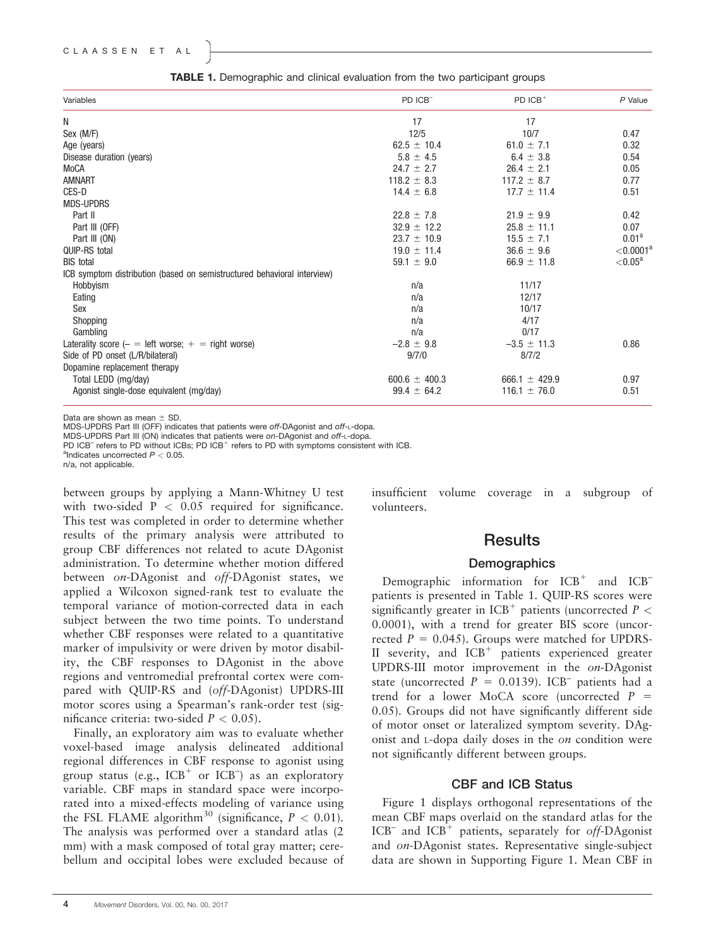| Variables                                                               | PD ICB <sup>-</sup> | PD $ICB^+$        | $P$ Value               |
|-------------------------------------------------------------------------|---------------------|-------------------|-------------------------|
| Ν                                                                       | 17                  | 17                |                         |
| Sex (M/F)                                                               | 12/5                | 10/7              | 0.47                    |
| Age (years)                                                             | $62.5 \pm 10.4$     | 61.0 $\pm$ 7.1    | 0.32                    |
| Disease duration (years)                                                | $5.8 \pm 4.5$       | $6.4 \pm 3.8$     | 0.54                    |
| MoCA                                                                    | $24.7 \pm 2.7$      | $26.4 \pm 2.1$    | 0.05                    |
| <b>AMNART</b>                                                           | $118.2 \pm 8.3$     | $117.2 \pm 8.7$   | 0.77                    |
| CES-D                                                                   | $14.4 \pm 6.8$      | $17.7 \pm 11.4$   | 0.51                    |
| <b>MDS-UPDRS</b>                                                        |                     |                   |                         |
| Part II                                                                 | $22.8 \pm 7.8$      | $21.9 \pm 9.9$    | 0.42                    |
| Part III (OFF)                                                          | $32.9 \pm 12.2$     | $25.8 \pm 11.1$   | 0.07                    |
| Part III (ON)                                                           | $23.7 \pm 10.9$     | $15.5 \pm 7.1$    | $0.01^a$                |
| QUIP-RS total                                                           | $19.0 \pm 11.4$     | $36.6 \pm 9.6$    | $<$ 0.0001 <sup>a</sup> |
| <b>BIS</b> total                                                        | 59.1 $\pm$ 9.0      | $66.9 \pm 11.8$   | ${<}0.05^{\mathrm{a}}$  |
| ICB symptom distribution (based on semistructured behavioral interview) |                     |                   |                         |
| Hobbyism                                                                | n/a                 | 11/17             |                         |
| Eating                                                                  | n/a                 | 12/17             |                         |
| Sex                                                                     | n/a                 | 10/17             |                         |
| Shopping                                                                | n/a                 | 4/17              |                         |
| Gambling                                                                | n/a                 | 0/17              |                         |
| Laterality score $(-$ = left worse; $+$ = right worse)                  | $-2.8 \pm 9.8$      | $-3.5 \pm 11.3$   | 0.86                    |
| Side of PD onset (L/R/bilateral)                                        | 9/7/0               | 8/7/2             |                         |
| Dopamine replacement therapy                                            |                     |                   |                         |
| Total LEDD (mg/day)                                                     | $600.6 \pm 400.3$   | 666.1 $\pm$ 429.9 | 0.97                    |
| Agonist single-dose equivalent (mg/day)                                 | $99.4 \pm 64.2$     | $116.1 \pm 76.0$  | 0.51                    |

TABLE 1. Demographic and clinical evaluation from the two participant groups

Data are shown as mean  $\pm$  SD.

MDS-UPDRS Part III (OFF) indicates that patients were off-DAgonist and off-L-dopa.

MDS-UPDRS Part III (ON) indicates that patients were on-DAgonist and off-L-dopa.

PD ICB<sup>-</sup> refers to PD without ICBs; PD ICB<sup>+</sup> refers to PD with symptoms consistent with ICB. <sup>a</sup>Indicates uncorrected  $P < 0.05$ .

n/a, not applicable.

between groups by applying a Mann-Whitney U test with two-sided  $P < 0.05$  required for significance. This test was completed in order to determine whether results of the primary analysis were attributed to group CBF differences not related to acute DAgonist administration. To determine whether motion differed between on-DAgonist and off-DAgonist states, we applied a Wilcoxon signed-rank test to evaluate the temporal variance of motion-corrected data in each subject between the two time points. To understand whether CBF responses were related to a quantitative marker of impulsivity or were driven by motor disability, the CBF responses to DAgonist in the above regions and ventromedial prefrontal cortex were compared with QUIP-RS and (off-DAgonist) UPDRS-III motor scores using a Spearman's rank-order test (significance criteria: two-sided  $P < 0.05$ ).

Finally, an exploratory aim was to evaluate whether voxel-based image analysis delineated additional regional differences in CBF response to agonist using group status (e.g.,  $ICB<sup>+</sup>$  or  $ICB<sup>-</sup>$ ) as an exploratory variable. CBF maps in standard space were incorporated into a mixed-effects modeling of variance using the FSL FLAME algorithm<sup>30</sup> (significance,  $P < 0.01$ ). The analysis was performed over a standard atlas (2 mm) with a mask composed of total gray matter; cerebellum and occipital lobes were excluded because of insufficient volume coverage in a subgroup of volunteers.

## **Results**

#### **Demographics**

Demographic information for  $ICB<sup>+</sup>$  and  $ICB$ patients is presented in Table 1. QUIP-RS scores were significantly greater in ICB<sup>+</sup> patients (uncorrected  $P \nless$ 0.0001), with a trend for greater BIS score (uncorrected  $P = 0.045$ ). Groups were matched for UPDRS-II severity, and  $ICB<sup>+</sup>$  patients experienced greater UPDRS-III motor improvement in the on-DAgonist state (uncorrected  $P = 0.0139$ ). ICB<sup>-</sup> patients had a trend for a lower MoCA score (uncorrected  $P =$ 0.05). Groups did not have significantly different side of motor onset or lateralized symptom severity. DAgonist and L-dopa daily doses in the on condition were not significantly different between groups.

#### CBF and ICB Status

Figure 1 displays orthogonal representations of the mean CBF maps overlaid on the standard atlas for the  $ICB^-$  and  $ICB^+$  patients, separately for off-DAgonist and on-DAgonist states. Representative single-subject data are shown in Supporting Figure 1. Mean CBF in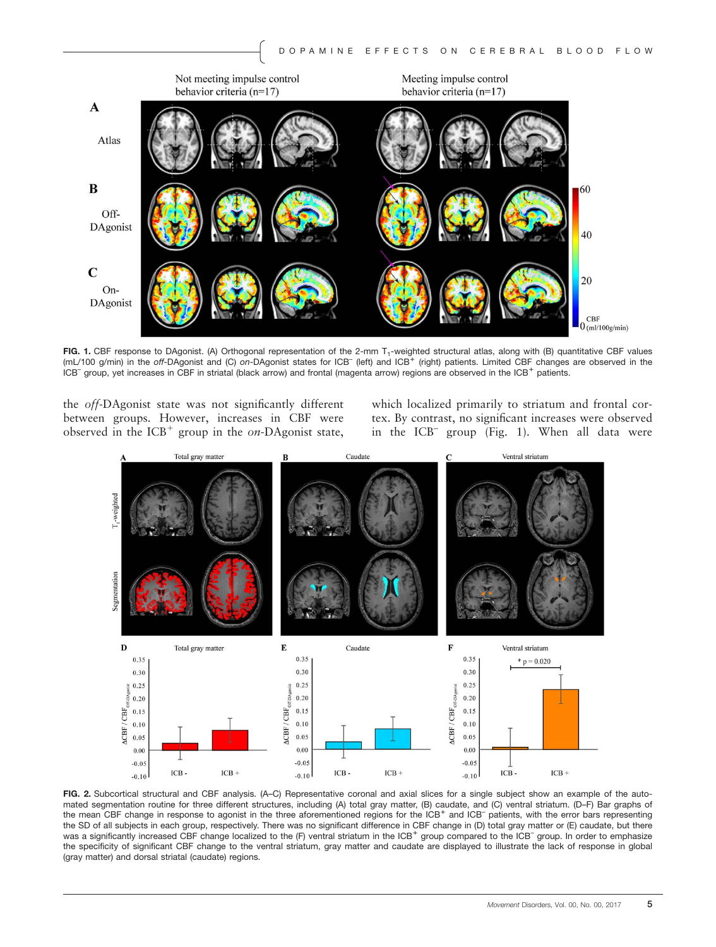

FIG. 1. CBF response to DAgonist. (A) Orthogonal representation of the 2-mm T<sub>1</sub>-weighted structural atlas, along with (B) quantitative CBF values (mL/100 g/min) in the off-DAgonist and (C) on-DAgonist states for ICB<sup>-</sup> (left) and ICB<sup>+</sup> (right) patients. Limited CBF changes are observed in the ICB<sup>-</sup> group, yet increases in CBF in striatal (black arrow) and frontal (magenta arrow) regions are observed in the ICB<sup>+</sup> patients.

the off-DAgonist state was not significantly different between groups. However, increases in CBF were observed in the  $ICB<sup>+</sup>$  group in the on-DAgonist state,

which localized primarily to striatum and frontal cortex. By contrast, no significant increases were observed in the ICB– group (Fig. 1). When all data were



FIG. 2. Subcortical structural and CBF analysis. (A–C) Representative coronal and axial slices for a single subject show an example of the automated segmentation routine for three different structures, including (A) total gray matter, (B) caudate, and (C) ventral striatum. (D–F) Bar graphs of the mean CBF change in response to agonist in the three aforementioned regions for the ICB<sup>+</sup> and ICB<sup>-</sup> patients, with the error bars representing the SD of all subjects in each group, respectively. There was no significant difference in CBF change in (D) total gray matter or (E) caudate, but there was a significantly increased CBF change localized to the (F) ventral striatum in the ICB<sup>+</sup> group compared to the ICB<sup>-</sup> group. In order to emphasize the specificity of significant CBF change to the ventral striatum, gray matter and caudate are displayed to illustrate the lack of response in global (gray matter) and dorsal striatal (caudate) regions.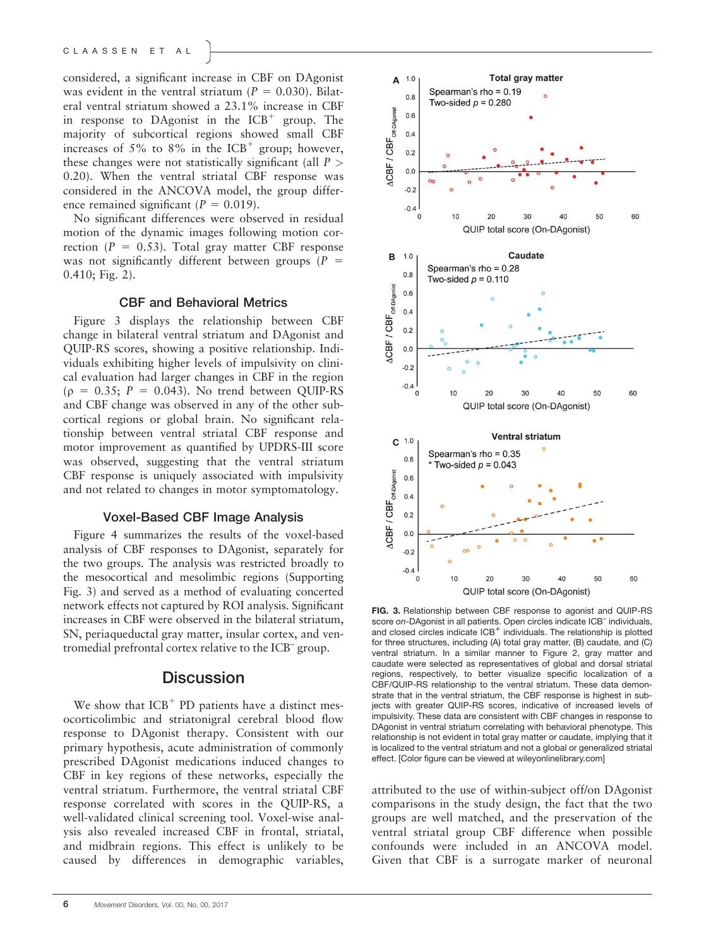considered, a significant increase in CBF on DAgonist was evident in the ventral striatum ( $P = 0.030$ ). Bilateral ventral striatum showed a 23.1% increase in CBF in response to DAgonist in the  $ICB<sup>+</sup>$  group. The majority of subcortical regions showed small CBF increases of 5% to 8% in the  $ICB<sup>+</sup>$  group; however, these changes were not statistically significant (all  $P >$ 0.20). When the ventral striatal CBF response was considered in the ANCOVA model, the group difference remained significant ( $P = 0.019$ ).

No significant differences were observed in residual motion of the dynamic images following motion correction ( $P = 0.53$ ). Total gray matter CBF response was not significantly different between groups ( $P =$ 0.410; Fig. 2).

#### CBF and Behavioral Metrics

Figure 3 displays the relationship between CBF change in bilateral ventral striatum and DAgonist and QUIP-RS scores, showing a positive relationship. Individuals exhibiting higher levels of impulsivity on clinical evaluation had larger changes in CBF in the region  $(p = 0.35; P = 0.043)$ . No trend between OUIP-RS and CBF change was observed in any of the other subcortical regions or global brain. No significant relationship between ventral striatal CBF response and motor improvement as quantified by UPDRS-III score was observed, suggesting that the ventral striatum CBF response is uniquely associated with impulsivity and not related to changes in motor symptomatology.

### Voxel-Based CBF Image Analysis

Figure 4 summarizes the results of the voxel-based analysis of CBF responses to DAgonist, separately for the two groups. The analysis was restricted broadly to the mesocortical and mesolimbic regions (Supporting Fig. 3) and served as a method of evaluating concerted network effects not captured by ROI analysis. Significant increases in CBF were observed in the bilateral striatum, SN, periaqueductal gray matter, insular cortex, and ventromedial prefrontal cortex relative to the ICB– group.

## **Discussion**

We show that  $ICB<sup>+</sup>$  PD patients have a distinct mesocorticolimbic and striatonigral cerebral blood flow response to DAgonist therapy. Consistent with our primary hypothesis, acute administration of commonly prescribed DAgonist medications induced changes to CBF in key regions of these networks, especially the ventral striatum. Furthermore, the ventral striatal CBF response correlated with scores in the QUIP-RS, a well-validated clinical screening tool. Voxel-wise analysis also revealed increased CBF in frontal, striatal, and midbrain regions. This effect is unlikely to be caused by differences in demographic variables,



FIG. 3. Relationship between CBF response to agonist and QUIP-RS score on-DAgonist in all patients. Open circles indicate ICB<sup>-</sup> individuals, and closed circles indicate  $ICB<sup>+</sup>$  individuals. The relationship is plotted for three structures, including (A) total gray matter, (B) caudate, and (C) ventral striatum. In a similar manner to Figure 2, gray matter and caudate were selected as representatives of global and dorsal striatal regions, respectively, to better visualize specific localization of a CBF/QUIP-RS relationship to the ventral striatum. These data demonstrate that in the ventral striatum, the CBF response is highest in subjects with greater QUIP-RS scores, indicative of increased levels of impulsivity. These data are consistent with CBF changes in response to DAgonist in ventral striatum correlating with behavioral phenotype. This relationship is not evident in total gray matter or caudate, implying that it is localized to the ventral striatum and not a global or generalized striatal effect. [Color figure can be viewed at [wileyonlinelibrary.com\]](http://wileyonlinelibrary.com)

attributed to the use of within-subject off/on DAgonist comparisons in the study design, the fact that the two groups are well matched, and the preservation of the ventral striatal group CBF difference when possible confounds were included in an ANCOVA model. Given that CBF is a surrogate marker of neuronal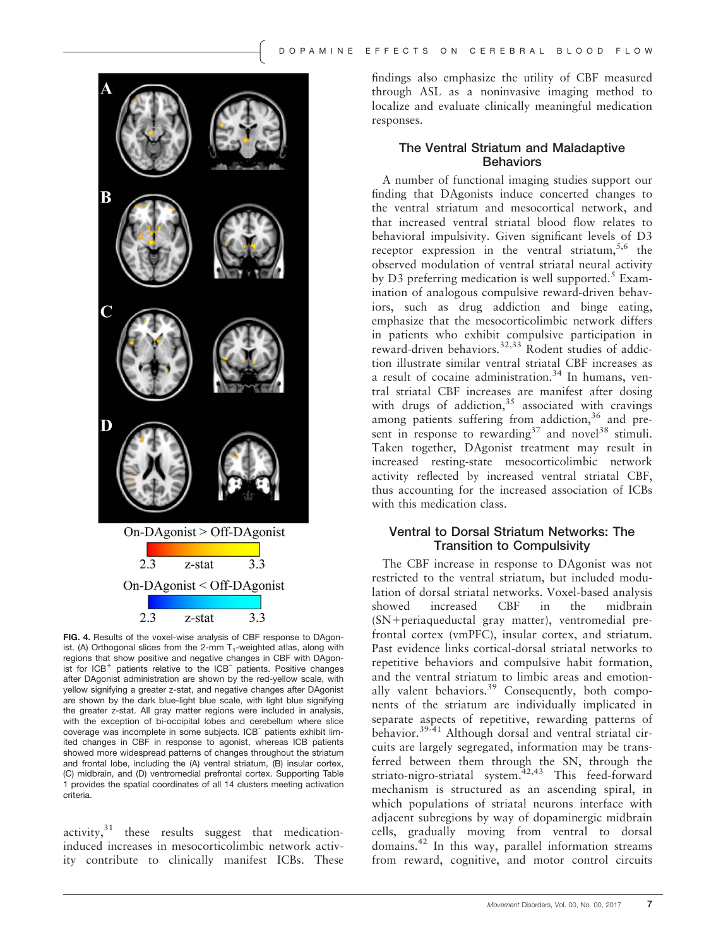

FIG. 4. Results of the voxel-wise analysis of CBF response to DAgonist. (A) Orthogonal slices from the 2-mm  $T_1$ -weighted atlas, along with regions that show positive and negative changes in CBF with DAgonist for ICB<sup>+</sup> patients relative to the ICB<sup>-</sup> patients. Positive changes after DAgonist administration are shown by the red-yellow scale, with yellow signifying a greater z-stat, and negative changes after DAgonist are shown by the dark blue-light blue scale, with light blue signifying the greater z-stat. All gray matter regions were included in analysis, with the exception of bi-occipital lobes and cerebellum where slice coverage was incomplete in some subjects. ICB– patients exhibit limited changes in CBF in response to agonist, whereas ICB patients showed more widespread patterns of changes throughout the striatum and frontal lobe, including the (A) ventral striatum, (B) insular cortex, (C) midbrain, and (D) ventromedial prefrontal cortex. Supporting Table 1 provides the spatial coordinates of all 14 clusters meeting activation criteria.

activity, $31$  these results suggest that medicationinduced increases in mesocorticolimbic network activity contribute to clinically manifest ICBs. These findings also emphasize the utility of CBF measured through ASL as a noninvasive imaging method to localize and evaluate clinically meaningful medication responses.

## The Ventral Striatum and Maladaptive **Behaviors**

A number of functional imaging studies support our finding that DAgonists induce concerted changes to the ventral striatum and mesocortical network, and that increased ventral striatal blood flow relates to behavioral impulsivity. Given significant levels of D3 receptor expression in the ventral striatum,  $5.6$  the observed modulation of ventral striatal neural activity by D3 preferring medication is well supported.<sup>5</sup> Examination of analogous compulsive reward-driven behaviors, such as drug addiction and binge eating, emphasize that the mesocorticolimbic network differs in patients who exhibit compulsive participation in reward-driven behaviors.<sup>32,33</sup> Rodent studies of addiction illustrate similar ventral striatal CBF increases as a result of cocaine administration. $34$  In humans, ventral striatal CBF increases are manifest after dosing with drugs of addiction,  $35$  associated with cravings among patients suffering from addiction,<sup>36</sup> and present in response to rewarding<sup>37</sup> and novel<sup>38</sup> stimuli. Taken together, DAgonist treatment may result in increased resting-state mesocorticolimbic network activity reflected by increased ventral striatal CBF, thus accounting for the increased association of ICBs with this medication class.

### Ventral to Dorsal Striatum Networks: The Transition to Compulsivity

The CBF increase in response to DAgonist was not restricted to the ventral striatum, but included modulation of dorsal striatal networks. Voxel-based analysis showed increased CBF in the midbrain (SN+periaqueductal gray matter), ventromedial prefrontal cortex (vmPFC), insular cortex, and striatum. Past evidence links cortical-dorsal striatal networks to repetitive behaviors and compulsive habit formation, and the ventral striatum to limbic areas and emotionally valent behaviors.<sup>39</sup> Consequently, both components of the striatum are individually implicated in separate aspects of repetitive, rewarding patterns of behavior.<sup>39-41</sup> Although dorsal and ventral striatal circuits are largely segregated, information may be transferred between them through the SN, through the striato-nigro-striatal system.<sup>42,43</sup> This feed-forward mechanism is structured as an ascending spiral, in which populations of striatal neurons interface with adjacent subregions by way of dopaminergic midbrain cells, gradually moving from ventral to dorsal domains.42 In this way, parallel information streams from reward, cognitive, and motor control circuits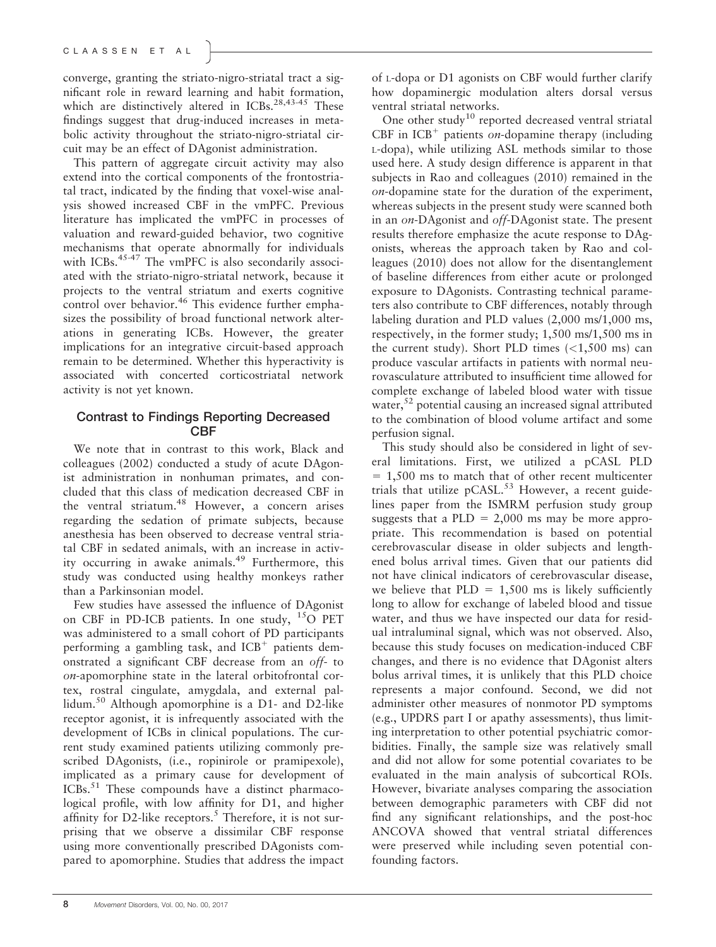converge, granting the striato-nigro-striatal tract a significant role in reward learning and habit formation, which are distinctively altered in ICBs.<sup>28,43-45</sup> These findings suggest that drug-induced increases in metabolic activity throughout the striato-nigro-striatal circuit may be an effect of DAgonist administration.

This pattern of aggregate circuit activity may also extend into the cortical components of the frontostriatal tract, indicated by the finding that voxel-wise analysis showed increased CBF in the vmPFC. Previous literature has implicated the vmPFC in processes of valuation and reward-guided behavior, two cognitive mechanisms that operate abnormally for individuals with ICBs.<sup>45-47</sup> The vmPFC is also secondarily associated with the striato-nigro-striatal network, because it projects to the ventral striatum and exerts cognitive control over behavior.<sup>46</sup> This evidence further emphasizes the possibility of broad functional network alterations in generating ICBs. However, the greater implications for an integrative circuit-based approach remain to be determined. Whether this hyperactivity is associated with concerted corticostriatal network activity is not yet known.

### Contrast to Findings Reporting Decreased **CBF**

We note that in contrast to this work, Black and colleagues (2002) conducted a study of acute DAgonist administration in nonhuman primates, and concluded that this class of medication decreased CBF in the ventral striatum.<sup>48</sup> However, a concern arises regarding the sedation of primate subjects, because anesthesia has been observed to decrease ventral striatal CBF in sedated animals, with an increase in activity occurring in awake animals.<sup>49</sup> Furthermore, this study was conducted using healthy monkeys rather than a Parkinsonian model.

Few studies have assessed the influence of DAgonist on CBF in PD-ICB patients. In one study, <sup>15</sup>O PET was administered to a small cohort of PD participants performing a gambling task, and  $ICB<sup>+</sup>$  patients demonstrated a significant CBF decrease from an off- to on-apomorphine state in the lateral orbitofrontal cortex, rostral cingulate, amygdala, and external pallidum.<sup>50</sup> Although apomorphine is a D1- and D2-like receptor agonist, it is infrequently associated with the development of ICBs in clinical populations. The current study examined patients utilizing commonly prescribed DAgonists, (i.e., ropinirole or pramipexole), implicated as a primary cause for development of ICBs.<sup>51</sup> These compounds have a distinct pharmacological profile, with low affinity for D1, and higher affinity for D2-like receptors.<sup>5</sup> Therefore, it is not surprising that we observe a dissimilar CBF response using more conventionally prescribed DAgonists compared to apomorphine. Studies that address the impact

of L-dopa or D1 agonists on CBF would further clarify how dopaminergic modulation alters dorsal versus ventral striatal networks.

One other study<sup>10</sup> reported decreased ventral striatal CBF in  $ICB<sup>+</sup>$  patients on-dopamine therapy (including L-dopa), while utilizing ASL methods similar to those used here. A study design difference is apparent in that subjects in Rao and colleagues (2010) remained in the on-dopamine state for the duration of the experiment, whereas subjects in the present study were scanned both in an on-DAgonist and off-DAgonist state. The present results therefore emphasize the acute response to DAgonists, whereas the approach taken by Rao and colleagues (2010) does not allow for the disentanglement of baseline differences from either acute or prolonged exposure to DAgonists. Contrasting technical parameters also contribute to CBF differences, notably through labeling duration and PLD values (2,000 ms/1,000 ms, respectively, in the former study; 1,500 ms/1,500 ms in the current study). Short PLD times  $\left($  <1,500 ms) can produce vascular artifacts in patients with normal neurovasculature attributed to insufficient time allowed for complete exchange of labeled blood water with tissue water, $5<sup>2</sup>$  potential causing an increased signal attributed to the combination of blood volume artifact and some perfusion signal.

This study should also be considered in light of several limitations. First, we utilized a pCASL PLD  $= 1,500$  ms to match that of other recent multicenter trials that utilize  $p$ CASL.<sup>53</sup> However, a recent guidelines paper from the ISMRM perfusion study group suggests that a PLD =  $2,000$  ms may be more appropriate. This recommendation is based on potential cerebrovascular disease in older subjects and lengthened bolus arrival times. Given that our patients did not have clinical indicators of cerebrovascular disease, we believe that  $PLD = 1,500$  ms is likely sufficiently long to allow for exchange of labeled blood and tissue water, and thus we have inspected our data for residual intraluminal signal, which was not observed. Also, because this study focuses on medication-induced CBF changes, and there is no evidence that DAgonist alters bolus arrival times, it is unlikely that this PLD choice represents a major confound. Second, we did not administer other measures of nonmotor PD symptoms (e.g., UPDRS part I or apathy assessments), thus limiting interpretation to other potential psychiatric comorbidities. Finally, the sample size was relatively small and did not allow for some potential covariates to be evaluated in the main analysis of subcortical ROIs. However, bivariate analyses comparing the association between demographic parameters with CBF did not find any significant relationships, and the post-hoc ANCOVA showed that ventral striatal differences were preserved while including seven potential confounding factors.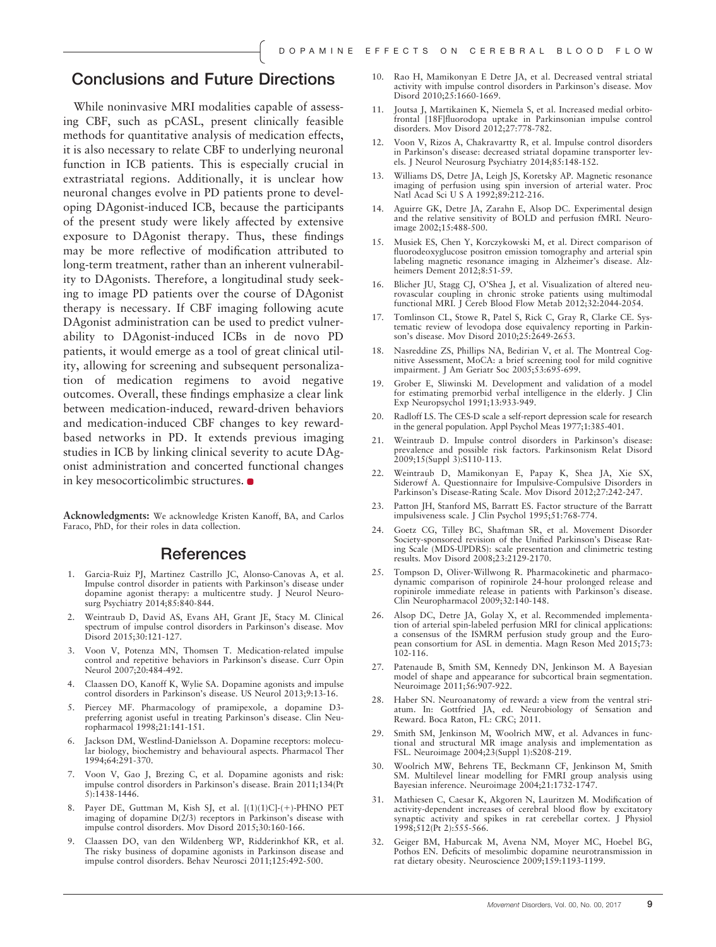## Conclusions and Future Directions

While noninvasive MRI modalities capable of assessing CBF, such as pCASL, present clinically feasible methods for quantitative analysis of medication effects, it is also necessary to relate CBF to underlying neuronal function in ICB patients. This is especially crucial in extrastriatal regions. Additionally, it is unclear how neuronal changes evolve in PD patients prone to developing DAgonist-induced ICB, because the participants of the present study were likely affected by extensive exposure to DAgonist therapy. Thus, these findings may be more reflective of modification attributed to long-term treatment, rather than an inherent vulnerability to DAgonists. Therefore, a longitudinal study seeking to image PD patients over the course of DAgonist therapy is necessary. If CBF imaging following acute DAgonist administration can be used to predict vulnerability to DAgonist-induced ICBs in de novo PD patients, it would emerge as a tool of great clinical utility, allowing for screening and subsequent personalization of medication regimens to avoid negative outcomes. Overall, these findings emphasize a clear link between medication-induced, reward-driven behaviors and medication-induced CBF changes to key rewardbased networks in PD. It extends previous imaging studies in ICB by linking clinical severity to acute DAgonist administration and concerted functional changes in key mesocorticolimbic structures.

Acknowledgments: We acknowledge Kristen Kanoff, BA, and Carlos Faraco, PhD, for their roles in data collection.

## References

- 1. Garcia-Ruiz PJ, Martinez Castrillo JC, Alonso-Canovas A, et al. Impulse control disorder in patients with Parkinson's disease under dopamine agonist therapy: a multicentre study. J Neurol Neurosurg Psychiatry 2014;85:840-844.
- 2. Weintraub D, David AS, Evans AH, Grant JE, Stacy M. Clinical spectrum of impulse control disorders in Parkinson's disease. Mov Disord 2015;30:121-127.
- 3. Voon V, Potenza MN, Thomsen T. Medication-related impulse control and repetitive behaviors in Parkinson's disease. Curr Opin Neurol 2007;20:484-492.
- 4. Claassen DO, Kanoff K, Wylie SA. Dopamine agonists and impulse control disorders in Parkinson's disease. US Neurol 2013;9:13-16.
- 5. Piercey MF. Pharmacology of pramipexole, a dopamine D3 preferring agonist useful in treating Parkinson's disease. Clin Neuropharmacol 1998;21:141-151.
- Jackson DM, Westlind-Danielsson A. Dopamine receptors: molecular biology, biochemistry and behavioural aspects. Pharmacol Ther 1994;64:291-370.
- 7. Voon V, Gao J, Brezing C, et al. Dopamine agonists and risk: impulse control disorders in Parkinson's disease. Brain 2011;134(Pt 5):1438-1446.
- 8. Payer DE, Guttman M, Kish SJ, et al. [(1)(1)C]-(+)-PHNO PET imaging of dopamine D(2/3) receptors in Parkinson's disease with impulse control disorders. Mov Disord 2015;30:160-166.
- 9. Claassen DO, van den Wildenberg WP, Ridderinkhof KR, et al. The risky business of dopamine agonists in Parkinson disease and impulse control disorders. Behav Neurosci 2011;125:492-500.
- 10. Rao H, Mamikonyan E Detre JA, et al. Decreased ventral striatal activity with impulse control disorders in Parkinson's disease. Mov Disord 2010;25:1660-1669.
- 11. Joutsa J, Martikainen K, Niemela S, et al. Increased medial orbitofrontal [18F]fluorodopa uptake in Parkinsonian impulse control disorders. Mov Disord 2012;27:778-782.
- 12. Voon V, Rizos A, Chakravartty R, et al. Impulse control disorders in Parkinson's disease: decreased striatal dopamine transporter levels. J Neurol Neurosurg Psychiatry 2014;85:148-152.
- 13. Williams DS, Detre JA, Leigh JS, Koretsky AP. Magnetic resonance imaging of perfusion using spin inversion of arterial water. Proc Natl Acad Sci U S A 1992;89:212-216.
- 14. Aguirre GK, Detre JA, Zarahn E, Alsop DC. Experimental design and the relative sensitivity of BOLD and perfusion fMRI. Neuroimage 2002;15:488-500.
- 15. Musiek ES, Chen Y, Korczykowski M, et al. Direct comparison of fluorodeoxyglucose positron emission tomography and arterial spin labeling magnetic resonance imaging in Alzheimer's disease. Alzheimers Dement 2012;8:51-59.
- 16. Blicher JU, Stagg CJ, O'Shea J, et al. Visualization of altered neurovascular coupling in chronic stroke patients using multimodal functional MRI. J Cereb Blood Flow Metab 2012;32:2044-2054.
- 17. Tomlinson CL, Stowe R, Patel S, Rick C, Gray R, Clarke CE. Systematic review of levodopa dose equivalency reporting in Parkinson's disease. Mov Disord 2010;25:2649-2653.
- 18. Nasreddine ZS, Phillips NA, Bedirian V, et al. The Montreal Cognitive Assessment, MoCA: a brief screening tool for mild cognitive impairment. J Am Geriatr Soc 2005;53:695-699.
- 19. Grober E, Sliwinski M. Development and validation of a model for estimating premorbid verbal intelligence in the elderly. J Clin Exp Neuropsychol 1991;13:933-949.
- 20. Radloff LS. The CES-D scale a self-report depression scale for research in the general population. Appl Psychol Meas 1977;1:385-401.
- 21. Weintraub D. Impulse control disorders in Parkinson's disease: prevalence and possible risk factors. Parkinsonism Relat Disord 2009;15(Suppl 3):S110-113.
- 22. Weintraub D, Mamikonyan E, Papay K, Shea JA, Xie SX, Siderowf A. Questionnaire for Impulsive-Compulsive Disorders in Parkinson's Disease-Rating Scale. Mov Disord 2012;27:242-247.
- 23. Patton JH, Stanford MS, Barratt ES. Factor structure of the Barratt impulsiveness scale. J Clin Psychol 1995;51:768-774.
- 24. Goetz CG, Tilley BC, Shaftman SR, et al. Movement Disorder Society-sponsored revision of the Unified Parkinson's Disease Rating Scale (MDS-UPDRS): scale presentation and clinimetric testing results. Mov Disord 2008;23:2129-2170.
- 25. Tompson D, Oliver-Willwong R. Pharmacokinetic and pharmacodynamic comparison of ropinirole 24-hour prolonged release and ropinirole immediate release in patients with Parkinson's disease. Clin Neuropharmacol 2009;32:140-148.
- 26. Alsop DC, Detre JA, Golay X, et al. Recommended implementation of arterial spin-labeled perfusion MRI for clinical applications: a consensus of the ISMRM perfusion study group and the European consortium for ASL in dementia. Magn Reson Med 2015;73:  $102 - 116$ .
- 27. Patenaude B, Smith SM, Kennedy DN, Jenkinson M. A Bayesian model of shape and appearance for subcortical brain segmentation. Neuroimage 2011;56:907-922.
- 28. Haber SN. Neuroanatomy of reward: a view from the ventral striatum. In: Gottfried JA, ed. Neurobiology of Sensation and Reward. Boca Raton, FL: CRC; 2011.
- 29. Smith SM, Jenkinson M, Woolrich MW, et al. Advances in functional and structural MR image analysis and implementation as FSL. Neuroimage 2004;23(Suppl 1):S208-219.
- 30. Woolrich MW, Behrens TE, Beckmann CF, Jenkinson M, Smith SM. Multilevel linear modelling for FMRI group analysis using Bayesian inference. Neuroimage 2004;21:1732-1747.
- 31. Mathiesen C, Caesar K, Akgoren N, Lauritzen M. Modification of activity-dependent increases of cerebral blood flow by excitatory synaptic activity and spikes in rat cerebellar cortex. J Physiol 1998;512(Pt 2):555-566.
- 32. Geiger BM, Haburcak M, Avena NM, Moyer MC, Hoebel BG, Pothos EN. Deficits of mesolimbic dopamine neurotransmission in rat dietary obesity. Neuroscience 2009;159:1193-1199.